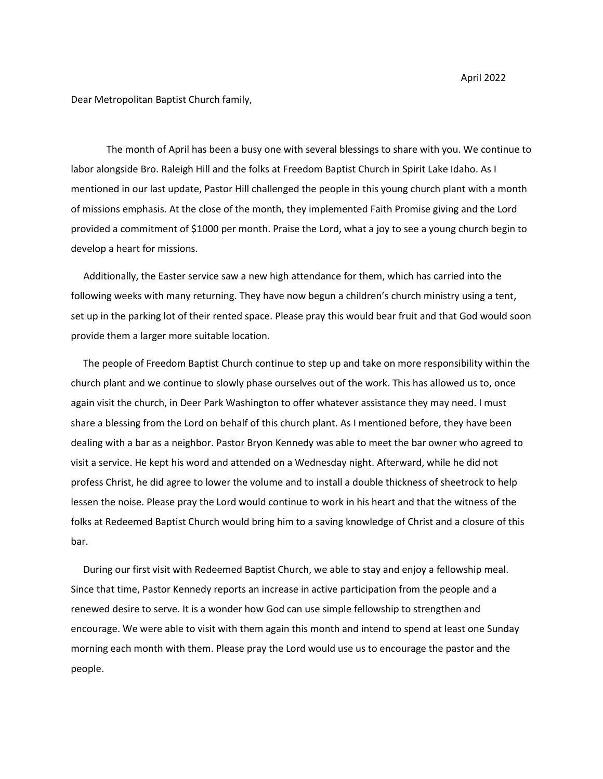April 2022

Dear Metropolitan Baptist Church family,

The month of April has been a busy one with several blessings to share with you. We continue to labor alongside Bro. Raleigh Hill and the folks at Freedom Baptist Church in Spirit Lake Idaho. As I mentioned in our last update, Pastor Hill challenged the people in this young church plant with a month of missions emphasis. At the close of the month, they implemented Faith Promise giving and the Lord provided a commitment of \$1000 per month. Praise the Lord, what a joy to see a young church begin to develop a heart for missions.

 Additionally, the Easter service saw a new high attendance for them, which has carried into the following weeks with many returning. They have now begun a children's church ministry using a tent, set up in the parking lot of their rented space. Please pray this would bear fruit and that God would soon provide them a larger more suitable location.

 The people of Freedom Baptist Church continue to step up and take on more responsibility within the church plant and we continue to slowly phase ourselves out of the work. This has allowed us to, once again visit the church, in Deer Park Washington to offer whatever assistance they may need. I must share a blessing from the Lord on behalf of this church plant. As I mentioned before, they have been dealing with a bar as a neighbor. Pastor Bryon Kennedy was able to meet the bar owner who agreed to visit a service. He kept his word and attended on a Wednesday night. Afterward, while he did not profess Christ, he did agree to lower the volume and to install a double thickness of sheetrock to help lessen the noise. Please pray the Lord would continue to work in his heart and that the witness of the folks at Redeemed Baptist Church would bring him to a saving knowledge of Christ and a closure of this bar.

 During our first visit with Redeemed Baptist Church, we able to stay and enjoy a fellowship meal. Since that time, Pastor Kennedy reports an increase in active participation from the people and a renewed desire to serve. It is a wonder how God can use simple fellowship to strengthen and encourage. We were able to visit with them again this month and intend to spend at least one Sunday morning each month with them. Please pray the Lord would use us to encourage the pastor and the people.